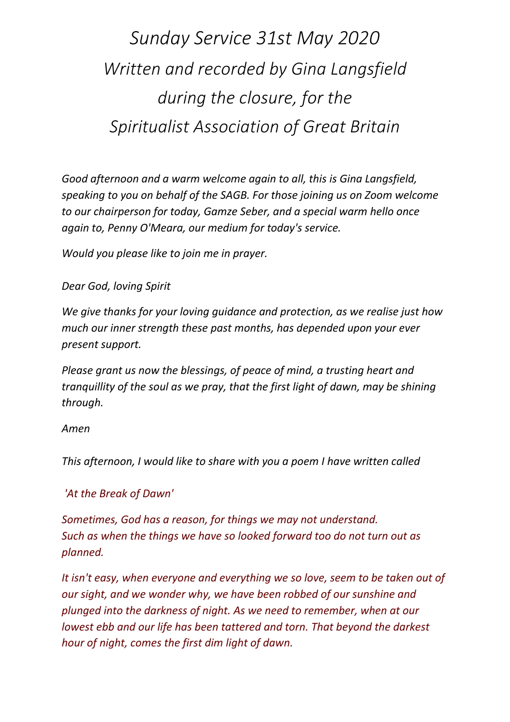*Sunday Service 31st May 2020 Written and recorded by Gina Langsfield during the closure, for the Spiritualist Association of Great Britain* 

*Good afternoon and a warm welcome again to all, this is Gina Langsfield, speaking to you on behalf of the SAGB. For those joining us on Zoom welcome to our chairperson for today, Gamze Seber, and a special warm hello once again to, Penny O'Meara, our medium for today's service.* 

*Would you please like to join me in prayer.*

## *Dear God, loving Spirit*

*We give thanks for your loving guidance and protection, as we realise just how much our inner strength these past months, has depended upon your ever present support.* 

*Please grant us now the blessings, of peace of mind, a trusting heart and tranquillity of the soul as we pray, that the first light of dawn, may be shining through.* 

## *Amen*

*This afternoon, I would like to share with you a poem I have written called*

## *'At the Break of Dawn'*

*Sometimes, God has a reason, for things we may not understand. Such as when the things we have so looked forward too do not turn out as planned.* 

*It isn't easy, when everyone and everything we so love, seem to be taken out of our sight, and we wonder why, we have been robbed of our sunshine and plunged into the darkness of night. As we need to remember, when at our lowest ebb and our life has been tattered and torn. That beyond the darkest hour of night, comes the first dim light of dawn.*